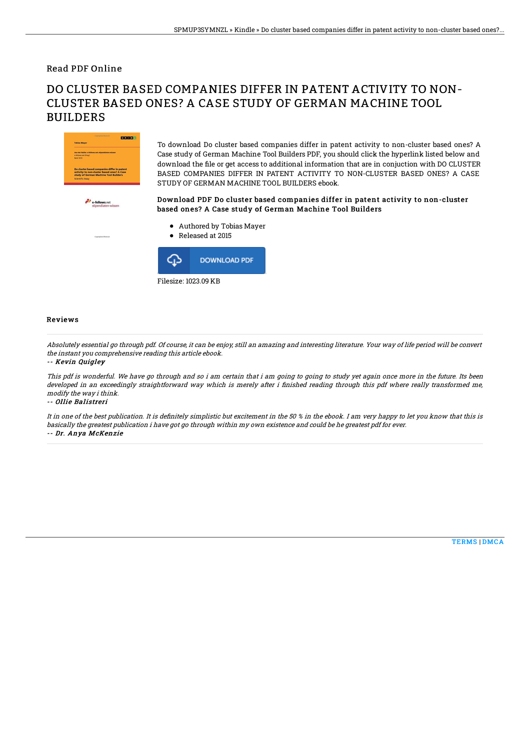Read PDF Online

# DO CLUSTER BASED COMPANIES DIFFER IN PATENT ACTIVITY TO NON-CLUSTER BASED ONES? A CASE STUDY OF GERMAN MACHINE TOOL BUILDERS



To download Do cluster based companies differ in patent activity to non-cluster based ones? A Case study of German Machine Tool Builders PDF, you should click the hyperlink listed below and download the file or get access to additional information that are in conjuction with DO CLUSTER BASED COMPANIES DIFFER IN PATENT ACTIVITY TO NON-CLUSTER BASED ONES? A CASE STUDY OF GERMAN MACHINE TOOL BUILDERS ebook.

### Download PDF Do cluster based companies differ in patent activity to non-cluster based ones? A Case study of German Machine Tool Builders

- Authored by Tobias Mayer
- Released at 2015



#### Reviews

Absolutely essential go through pdf. Of course, it can be enjoy, still an amazing and interesting literature. Your way of life period will be convert the instant you comprehensive reading this article ebook.

#### -- Kevin Quigley

This pdf is wonderful. We have go through and so i am certain that i am going to going to study yet again once more in the future. Its been developed in an exceedingly straightforward way which is merely after i finished reading through this pdf where really transformed me, modify the way i think.

-- Ollie Balistreri

It in one of the best publication. It is definitely simplistic but excitement in the 50 % in the ebook. I am very happy to let you know that this is basically the greatest publication i have got go through within my own existence and could be he greatest pdf for ever. -- Dr. Anya McKenzie